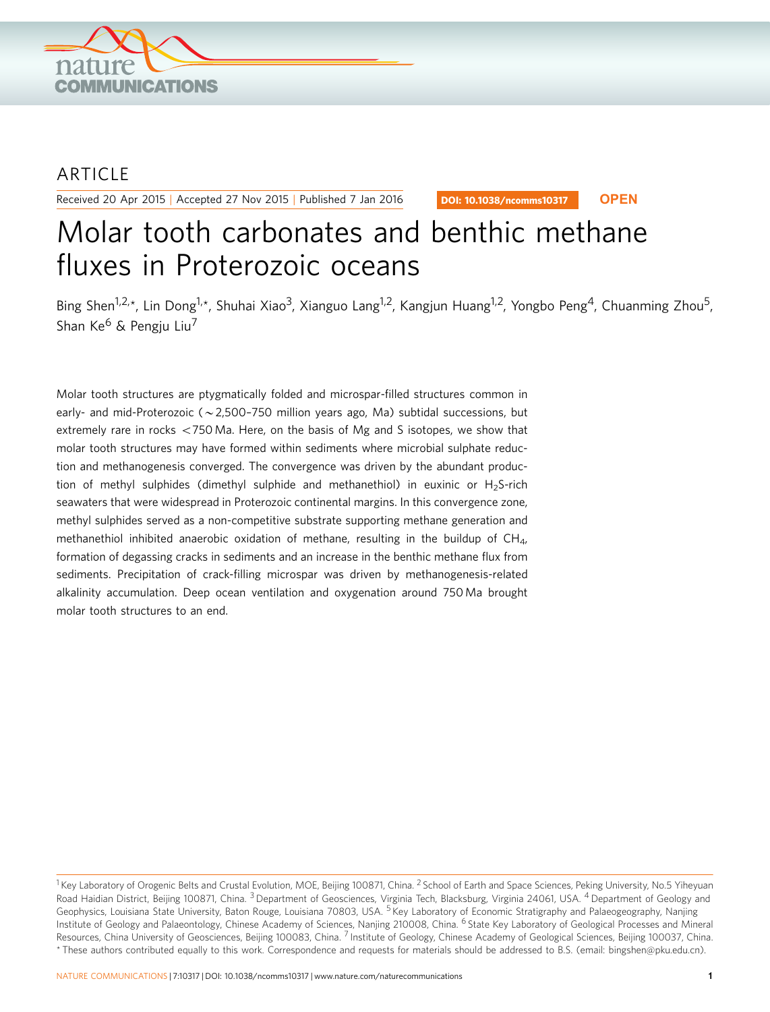

## ARTICLE

Received 20 Apr 2015 | Accepted 27 Nov 2015 | Published 7 Jan 2016

DOI: 10.1038/ncomms10317 **OPEN**

# Molar tooth carbonates and benthic methane fluxes in Proterozoic oceans

Bing Shen<sup>1,2,\*</sup>, Lin Dong<sup>1,\*</sup>, Shuhai Xiao<sup>3</sup>, Xianguo Lang<sup>1,2</sup>, Kangjun Huang<sup>1,2</sup>, Yongbo Peng<sup>4</sup>, Chuanming Zhou<sup>5</sup>, Shan Ke $^6$  & Pengiu Liu<sup>7</sup>

Molar tooth structures are ptygmatically folded and microspar-filled structures common in early- and mid-Proterozoic ( $\sim$  2,500–750 million years ago, Ma) subtidal successions, but extremely rare in rocks  $<$  750 Ma. Here, on the basis of Mg and S isotopes, we show that molar tooth structures may have formed within sediments where microbial sulphate reduction and methanogenesis converged. The convergence was driven by the abundant production of methyl sulphides (dimethyl sulphide and methanethiol) in euxinic or  $H_2$ S-rich seawaters that were widespread in Proterozoic continental margins. In this convergence zone, methyl sulphides served as a non-competitive substrate supporting methane generation and methanethiol inhibited anaerobic oxidation of methane, resulting in the buildup of  $CH<sub>4</sub>$ , formation of degassing cracks in sediments and an increase in the benthic methane flux from sediments. Precipitation of crack-filling microspar was driven by methanogenesis-related alkalinity accumulation. Deep ocean ventilation and oxygenation around 750 Ma brought molar tooth structures to an end.

<sup>&</sup>lt;sup>1</sup> Key Laboratory of Orogenic Belts and Crustal Evolution, MOE, Beijing 100871, China. <sup>2</sup> School of Earth and Space Sciences, Peking University, No.5 Yiheyuan Road Haidian District, Beijing 100871, China. <sup>3</sup> Department of Geosciences, Virginia Tech, Blacksburg, Virginia 24061, USA. <sup>4</sup> Department of Geology and Geophysics, Louisiana State University, Baton Rouge, Louisiana 70803, USA. <sup>5</sup> Key Laboratory of Economic Stratigraphy and Palaeogeography, Nanjing Institute of Geology and Palaeontology, Chinese Academy of Sciences, Nanjing 210008, China. <sup>6</sup> State Key Laboratory of Geological Processes and Mineral Resources, China University of Geosciences, Beijing 100083, China. <sup>7</sup> Institute of Geology, Chinese Academy of Geological Sciences, Beijing 100037, China. \* These authors contributed equally to this work. Correspondence and requests for materials should be addressed to B.S. (email: [bingshen@pku.edu.cn](mailto:bingshen@pku.edu.cn)).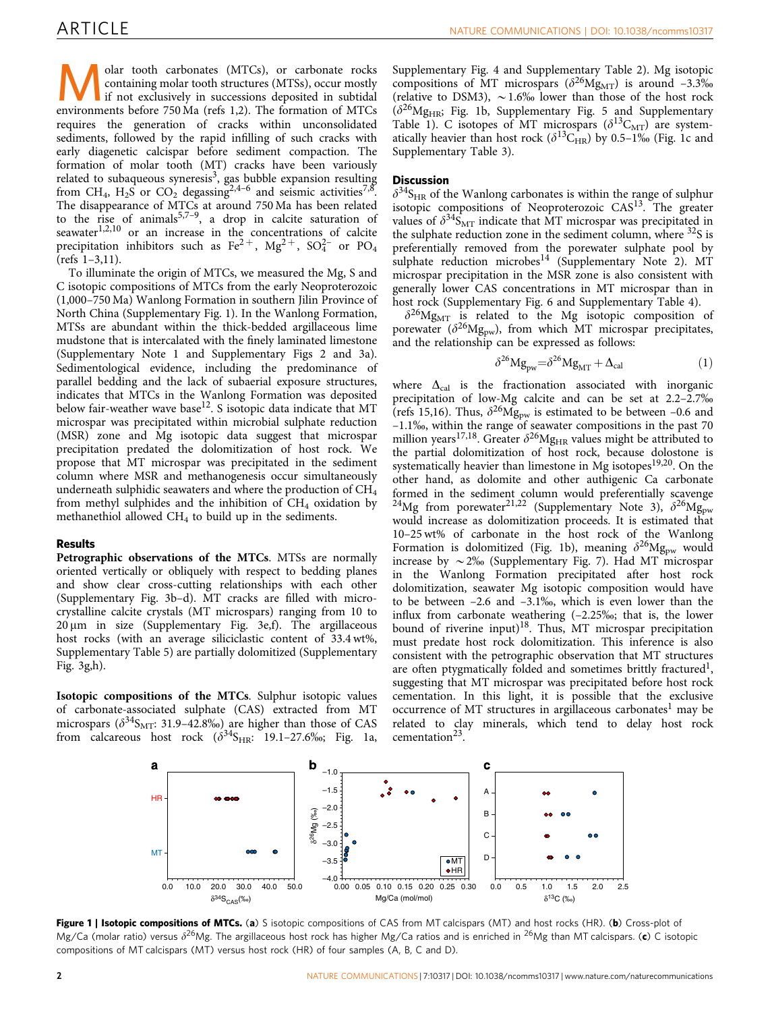<span id="page-1-0"></span>**Molar tooth carbonates (MTCs), or carbonate rocks**<br>containing molar tooth structures (MTSs), occur mostly<br>if not exclusively in successions deposited in subtidal<br>environments before 750 Ma (refs 1.2). The formation of MTC containing molar tooth structures (MTSs), occur mostly environments before 750 Ma [\(refs 1,2\)](#page-4-0). The formation of MTCs requires the generation of cracks within unconsolidated sediments, followed by the rapid infilling of such cracks with early diagenetic calcispar before sediment compaction. The formation of molar tooth (MT) cracks have been variously related to subaqueous syneresis<sup>3</sup>, gas bubble expansion resulting from CH<sub>4</sub>, H<sub>2</sub>S or CO<sub>2</sub> degassing<sup>[2,4–6](#page-4-0)</sup> and seismic activities<sup>7,8</sup>. The disappearance of MTCs at around 750 Ma has been related to the rise of animals<sup>5,7-9</sup>, a drop in calcite saturation of seawater $1,2,10$  or an increase in the concentrations of calcite precipitation inhibitors such as  $\text{Fe}^{2+}$ ,  $\text{Mg}^{2+}$ ,  $\text{SO}_4^{2-}$  or  $\text{PO}_4$ ([refs 1–3,11\)](#page-4-0).

To illuminate the origin of MTCs, we measured the Mg, S and C isotopic compositions of MTCs from the early Neoproterozoic (1,000–750 Ma) Wanlong Formation in southern Jilin Province of North China (Supplementary Fig. 1). In the Wanlong Formation, MTSs are abundant within the thick-bedded argillaceous lime mudstone that is intercalated with the finely laminated limestone (Supplementary Note 1 and Supplementary Figs 2 and 3a). Sedimentological evidence, including the predominance of parallel bedding and the lack of subaerial exposure structures, indicates that MTCs in the Wanlong Formation was deposited below fair-weather wave base<sup>12</sup>. S isotopic data indicate that MT microspar was precipitated within microbial sulphate reduction (MSR) zone and Mg isotopic data suggest that microspar precipitation predated the dolomitization of host rock. We propose that MT microspar was precipitated in the sediment column where MSR and methanogenesis occur simultaneously underneath sulphidic seawaters and where the production of  $CH<sub>4</sub>$ from methyl sulphides and the inhibition of  $CH<sub>4</sub>$  oxidation by methanethiol allowed  $CH<sub>4</sub>$  to build up in the sediments.

#### Results

Petrographic observations of the MTCs. MTSs are normally oriented vertically or obliquely with respect to bedding planes and show clear cross-cutting relationships with each other (Supplementary Fig. 3b–d). MT cracks are filled with microcrystalline calcite crystals (MT microspars) ranging from 10 to  $20 \,\mu m$  in size (Supplementary Fig. 3e,f). The argillaceous host rocks (with an average siliciclastic content of 33.4 wt%, Supplementary Table 5) are partially dolomitized (Supplementary Fig. 3g,h).

Isotopic compositions of the MTCs. Sulphur isotopic values of carbonate-associated sulphate (CAS) extracted from MT microspars ( $\delta^{34}S_{\text{MT}}$ : 31.9–42.8‰) are higher than those of CAS from calcareous host rock  $(\delta^{34}S_{HR}: 19.1-27.6\%$ ; Fig. 1a,

Supplementary Fig. 4 and Supplementary Table 2). Mg isotopic compositions of MT microspars ( $\delta^{26}Mg_{\rm MT}$ ) is around -3.3% (relative to DSM3),  $\sim$  1.6% lower than those of the host rock  $(\delta^{26}Mg_{HR};$  Fig. 1b, Supplementary Fig. 5 and Supplementary Table 1). C isotopes of MT microspars  $(\delta^{13}C_{MT})$  are systematically heavier than host rock  $(\delta^{13}C_{HR})$  by 0.5–1% (Fig. 1c and Supplementary Table 3).

### **Discussion**

 $\delta^{34}S_{HR}$  of the Wanlong carbonates is within the range of sulphur isotopic compositions of Neoproterozoic CAS<sup>[13](#page-4-0)</sup>. The greater values of  $\delta^{34}S_{\rm MT}$  indicate that MT microspar was precipitated in the sulphate reduction zone in the sediment column, where <sup>32</sup>S is preferentially removed from the porewater sulphate pool by sulphate reduction microbes<sup>[14](#page-4-0)</sup> (Supplementary Note 2). MT microspar precipitation in the MSR zone is also consistent with generally lower CAS concentrations in MT microspar than in host rock (Supplementary Fig. 6 and Supplementary Table 4).

 $\delta^{26}Mg_{MT}$  is related to the Mg isotopic composition of porewater ( $\delta^{26}Mg_{\text{bw}}$ ), from which MT microspar precipitates, and the relationship can be expressed as follows:

$$
\delta^{26} Mg_{\text{pw}} = \delta^{26} Mg_{\text{MT}} + \Delta_{\text{cal}} \tag{1}
$$

where  $\Delta_{\text{cal}}$  is the fractionation associated with inorganic precipitation of low-Mg calcite and can be set at 2.2–2.7% ([refs 15,16\)](#page-4-0). Thus,  $\delta^{26}Mg_{\text{pw}}$  is estimated to be between -0.6 and –1.1%, within the range of seawater compositions in the past 70 million years<sup>[17,18](#page-4-0)</sup>. Greater  $\delta^{26}Mg_{HR}$  values might be attributed to the partial dolomitization of host rock, because dolostone is systematically heavier than limestone in Mg isotopes<sup>[19,20](#page-4-0)</sup>. On the other hand, as dolomite and other authigenic Ca carbonate formed in the sediment column would preferentially scavenge <sup>24</sup>Mg from porewater<sup>21,22</sup> (Supplementary Note 3),  $\delta^{26}Mg_{\text{pw}}$ would increase as dolomitization proceeds. It is estimated that 10–25 wt% of carbonate in the host rock of the Wanlong Formation is dolomitized (Fig. 1b), meaning  $\delta^{26}Mg_{\text{pw}}$  would increase by  $\sim$  2% (Supplementary Fig. 7). Had MT microspar in the Wanlong Formation precipitated after host rock dolomitization, seawater Mg isotopic composition would have to be between  $-2.6$  and  $-3.1\%$ , which is even lower than the influx from carbonate weathering (–2.25%; that is, the lower bound of riverine input)<sup>18</sup>. Thus, MT microspar precipitation must predate host rock dolomitization. This inference is also consistent with the petrographic observation that MT structures are often ptygmatically folded and sometimes brittly fractured<sup>1</sup>, suggesting that MT microspar was precipitated before host rock cementation. In this light, it is possible that the exclusive occurrence of MT structures in argillaceous carbonates<sup>[1](#page-4-0)</sup> may be related to clay minerals, which tend to delay host rock cementation $^{23}$ .



Figure 1 | Isotopic compositions of MTCs. (a) S isotopic compositions of CAS from MT calcispars (MT) and host rocks (HR). (b) Cross-plot of Mg/Ca (molar ratio) versus  $\delta^{26}$ Mg. The argillaceous host rock has higher Mg/Ca ratios and is enriched in <sup>26</sup>Mg than MT calcispars. (c) C isotopic compositions of MT calcispars (MT) versus host rock (HR) of four samples (A, B, C and D).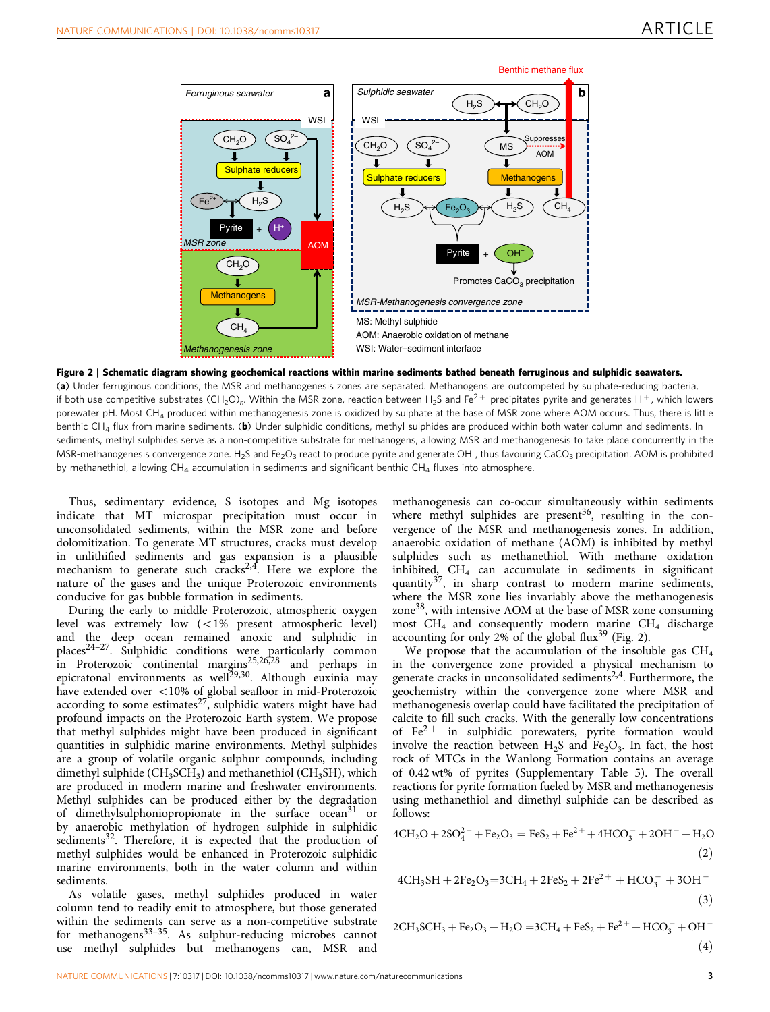

Figure 2 | Schematic diagram showing geochemical reactions within marine sediments bathed beneath ferruginous and sulphidic seawaters. (a) Under ferruginous conditions, the MSR and methanogenesis zones are separated. Methanogens are outcompeted by sulphate-reducing bacteria, if both use competitive substrates (CH<sub>2</sub>O)<sub>n</sub>. Within the MSR zone, reaction between H<sub>2</sub>S and Fe<sup>2+</sup> precipitates pyrite and generates H<sup>+</sup>, which lowers porewater pH. Most CH<sub>4</sub> produced within methanogenesis zone is oxidized by sulphate at the base of MSR zone where AOM occurs. Thus, there is little benthic CH<sub>4</sub> flux from marine sediments. (b) Under sulphidic conditions, methyl sulphides are produced within both water column and sediments. In sediments, methyl sulphides serve as a non-competitive substrate for methanogens, allowing MSR and methanogenesis to take place concurrently in the MSR-methanogenesis convergence zone. H<sub>2</sub>S and Fe<sub>2</sub>O<sub>3</sub> react to produce pyrite and generate OH<sup>-</sup>, thus favouring CaCO<sub>3</sub> precipitation. AOM is prohibited by methanethiol, allowing  $CH_4$  accumulation in sediments and significant benthic  $CH_4$  fluxes into atmosphere.

Thus, sedimentary evidence, S isotopes and Mg isotopes indicate that MT microspar precipitation must occur in unconsolidated sediments, within the MSR zone and before dolomitization. To generate MT structures, cracks must develop in unlithified sediments and gas expansion is a plausible mechanism to generate such cracks<sup>2,4</sup>. Here we explore the nature of the gases and the unique Proterozoic environments conducive for gas bubble formation in sediments.

During the early to middle Proterozoic, atmospheric oxygen level was extremely low  $\left($  < 1% present atmospheric level) and the deep ocean remained anoxic and sulphidic in place[s24–27.](#page-4-0) Sulphidic conditions were particularly common in Proterozoic continental margins<sup>25,26,28</sup> and perhaps in epicratonal environments as well<sup>[29,30](#page-4-0)</sup>. Although euxinia may have extended over  $<$  10% of global seafloor in mid-Proterozoic according to some estimates<sup>[27](#page-4-0)</sup>, sulphidic waters might have had profound impacts on the Proterozoic Earth system. We propose that methyl sulphides might have been produced in significant quantities in sulphidic marine environments. Methyl sulphides are a group of volatile organic sulphur compounds, including dimethyl sulphide ( $CH<sub>3</sub>SCH<sub>3</sub>$ ) and methanethiol ( $CH<sub>3</sub>SH$ ), which are produced in modern marine and freshwater environments. Methyl sulphides can be produced either by the degradation of dimethylsulphoniopropionate in the surface ocean<sup>[31](#page-4-0)</sup> or by anaerobic methylation of hydrogen sulphide in sulphidic sediments<sup>32</sup>. Therefore, it is expected that the production of methyl sulphides would be enhanced in Proterozoic sulphidic marine environments, both in the water column and within sediments.

As volatile gases, methyl sulphides produced in water column tend to readily emit to atmosphere, but those generated within the sediments can serve as a non-competitive substrate for methanogens<sup>33-35</sup>. As sulphur-reducing microbes cannot use methyl sulphides but methanogens can, MSR and

methanogenesis can co-occur simultaneously within sediments where methyl sulphides are present<sup>[36](#page-4-0)</sup>, resulting in the convergence of the MSR and methanogenesis zones. In addition, anaerobic oxidation of methane (AOM) is inhibited by methyl sulphides such as methanethiol. With methane oxidation inhibited,  $CH<sub>4</sub>$  can accumulate in sediments in significant quantity[37](#page-4-0), in sharp contrast to modern marine sediments, where the MSR zone lies invariably above the methanogenesis zone<sup>38</sup>, with intensive AOM at the base of MSR zone consuming most  $CH_4$  and consequently modern marine  $CH_4$  discharge accounting for only 2% of the global flux<sup>[39](#page-4-0)</sup> (Fig. 2).

We propose that the accumulation of the insoluble gas  $CH<sub>4</sub>$ in the convergence zone provided a physical mechanism to generate cracks in unconsolidated sediments<sup>2,4</sup>. Furthermore, the geochemistry within the convergence zone where MSR and methanogenesis overlap could have facilitated the precipitation of calcite to fill such cracks. With the generally low concentrations of  $Fe<sup>2+</sup>$  in sulphidic porewaters, pyrite formation would involve the reaction between  $H_2S$  and  $Fe<sub>2</sub>O<sub>3</sub>$ . In fact, the host rock of MTCs in the Wanlong Formation contains an average of 0.42 wt% of pyrites (Supplementary Table 5). The overall reactions for pyrite formation fueled by MSR and methanogenesis using methanethiol and dimethyl sulphide can be described as follows:

$$
4CH2O + 2SO42 + Fe2O3 = FeS2 + Fe2+ + 4HCO3- + 2OH- + H2O
$$
\n(2)

$$
4CH3SH + 2Fe2O3=3CH4 + 2FeS2 + 2Fe2+ + HCO3- + 3OH-
$$
\n(3)

$$
2CH3SCH3 + Fe2O3 + H2O = 3CH4 + FeS2 + Fe2+ + HCO3- + OH-
$$
\n(4)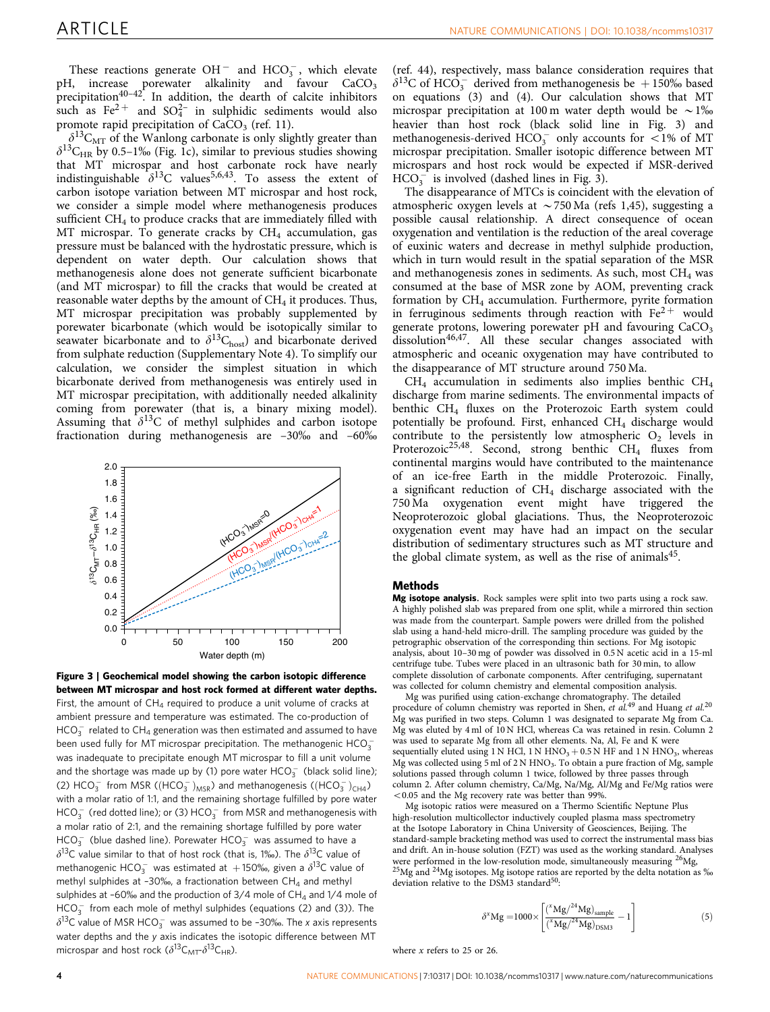These reactions generate  $OH^-$  and  $HCO_3^-$ , which elevate  $pH$ , increase porewater alkalinity and favour  $CaCO<sub>3</sub>$ precipitation<sup>[40–42](#page-4-0)</sup>. In addition, the dearth of calcite inhibitors such as  $Fe^{2+}$  and  $SO_4^{2-}$  in sulphidic sediments would also promote rapid precipitation of  $CaCO<sub>3</sub>$  ([ref. 11\)](#page-4-0).

 $\delta^{13}C_{\rm MT}$  of the Wanlong carbonate is only slightly greater than  $\delta^{13}$ C<sub>HR</sub> by 0.5–1‰ ([Fig. 1c](#page-1-0)), similar to previous studies showing that MT microspar and host carbonate rock have nearly indistinguishable  $\delta^{13}$ C values<sup>5,6,43</sup>. To assess the extent of carbon isotope variation between MT microspar and host rock, we consider a simple model where methanogenesis produces sufficient  $CH<sub>4</sub>$  to produce cracks that are immediately filled with MT microspar. To generate cracks by  $CH<sub>4</sub>$  accumulation, gas pressure must be balanced with the hydrostatic pressure, which is dependent on water depth. Our calculation shows that methanogenesis alone does not generate sufficient bicarbonate (and MT microspar) to fill the cracks that would be created at reasonable water depths by the amount of  $CH<sub>4</sub>$  it produces. Thus, MT microspar precipitation was probably supplemented by porewater bicarbonate (which would be isotopically similar to seawater bicarbonate and to  $\delta^{13}C_{\text{host}}$ ) and bicarbonate derived from sulphate reduction (Supplementary Note 4). To simplify our calculation, we consider the simplest situation in which bicarbonate derived from methanogenesis was entirely used in MT microspar precipitation, with additionally needed alkalinity coming from porewater (that is, a binary mixing model). Assuming that  $\delta^{13}C$  of methyl sulphides and carbon isotope fractionation during methanogenesis are  $-30\%$  and  $-60\%$ 



Figure 3 | Geochemical model showing the carbon isotopic difference between MT microspar and host rock formed at different water depths. First, the amount of  $CH_4$  required to produce a unit volume of cracks at ambient pressure and temperature was estimated. The co-production of  $\mathsf{HCO}_{3}^{-}$  related to  $\mathsf{CH}_{4}$  generation was then estimated and assumed to have been used fully for MT microspar precipitation. The methanogenic  $\mathsf{HCO}_3^$ was inadequate to precipitate enough MT microspar to fill a unit volume and the shortage was made up by (1) pore water  $\mathsf{HCO}_{3}^{-}$  (black solid line); (2)  $HCO_3^-$  from MSR ( $(HCO_3^-)_{MSR}$ ) and methanogenesis ( $(HCO_3^-)_{CH4}$ ) with a molar ratio of 1:1, and the remaining shortage fulfilled by pore water  $\mathsf{HCO}_{3}^{-}$  (red dotted line); or (3)  $\mathsf{HCO}_{3}^{-}$  from MSR and methanogenesis with a molar ratio of 2:1, and the remaining shortage fulfilled by pore water  $HCO_3^-$  (blue dashed line). Porewater  $HCO_3^-$  was assumed to have a  $\delta^{13}$ C value similar to that of host rock (that is, 1‰). The  $\delta^{13}$ C value of methanogenic HCO $_3^-$  was estimated at  $+$ 150‰, given a  $\delta^{13}$ C value of methyl sulphides at -30‰, a fractionation between  $CH_4$  and methyl sulphides at -60‰ and the production of 3/4 mole of  $CH_4$  and 1/4 mole of  $HCO<sub>3</sub><sup>-</sup>$  from each mole of methyl sulphides (equations (2) and (3)). The  $\delta^{13}$ C value of MSR HCO $_3^-$  was assumed to be -30‰. The x axis represents water depths and the y axis indicates the isotopic difference between MT microspar and host rock ( $\delta^{13}C_{\text{MT}}\delta^{13}C_{\text{HR}}$ ).

([ref. 44](#page-5-0)), respectively, mass balance consideration requires that  $\delta^{13}$ C of HCO<sub>3</sub> derived from methanogenesis be +150‰ based on equations (3) and (4). Our calculation shows that MT microspar precipitation at 100 m water depth would be  $\sim$ 1% heavier than host rock (black solid line in Fig. 3) and methanogenesis-derived  $HCO<sub>3</sub><sup>-</sup>$  only accounts for <1% of MT microspar precipitation. Smaller isotopic difference between MT microspars and host rock would be expected if MSR-derived  $HCO<sub>3</sub><sup>-</sup>$  is involved (dashed lines in Fig. 3).

The disappearance of MTCs is coincident with the elevation of atmospheric oxygen levels at  $\sim$  750 Ma ([refs 1,45\)](#page-4-0), suggesting a possible causal relationship. A direct consequence of ocean oxygenation and ventilation is the reduction of the areal coverage of euxinic waters and decrease in methyl sulphide production, which in turn would result in the spatial separation of the MSR and methanogenesis zones in sediments. As such, most  $CH<sub>4</sub>$  was consumed at the base of MSR zone by AOM, preventing crack formation by  $CH_4$  accumulation. Furthermore, pyrite formation in ferruginous sediments through reaction with  $Fe<sup>2+</sup>$  would generate protons, lowering porewater pH and favouring CaCO<sub>3</sub> dissolution<sup>[46,47](#page-5-0)</sup>. All these secular changes associated with atmospheric and oceanic oxygenation may have contributed to the disappearance of MT structure around 750 Ma.

CH4 accumulation in sediments also implies benthic CH4 discharge from marine sediments. The environmental impacts of benthic CH<sub>4</sub> fluxes on the Proterozoic Earth system could potentially be profound. First, enhanced  $CH<sub>4</sub>$  discharge would contribute to the persistently low atmospheric  $O_2$  levels in Proterozoic<sup>[25,48](#page-4-0)</sup>. Second, strong benthic  $CH_4$  fluxes from continental margins would have contributed to the maintenance of an ice-free Earth in the middle Proterozoic. Finally, a significant reduction of  $CH<sub>4</sub>$  discharge associated with the 750 Ma oxygenation event might have triggered the Neoproterozoic global glaciations. Thus, the Neoproterozoic oxygenation event may have had an impact on the secular distribution of sedimentary structures such as MT structure and the global climate system, as well as the rise of animals $45$ .

#### Methods

Mg isotope analysis. Rock samples were split into two parts using a rock saw. A highly polished slab was prepared from one split, while a mirrored thin section was made from the counterpart. Sample powers were drilled from the polished slab using a hand-held micro-drill. The sampling procedure was guided by the petrographic observation of the corresponding thin sections. For Mg isotopic analysis, about 10–30 mg of powder was dissolved in 0.5 N acetic acid in a 15-ml centrifuge tube. Tubes were placed in an ultrasonic bath for 30 min, to allow complete dissolution of carbonate components. After centrifuging, supernatant was collected for column chemistry and elemental composition analysis.

Mg was purified using cation-exchange chromatography. The detailed procedure of column chemistry was reported in Shen, *et al.*<sup>[49](#page-5-0)</sup> and Huang *et al.*<sup>[20](#page-4-0)</sup> Mg was purified in two steps. Column 1 was designated to separate Mg from Ca. Mg was eluted by 4 ml of 10 N HCl, whereas Ca was retained in resin. Column 2 was used to separate Mg from all other elements. Na, Al, Fe and K were sequentially eluted using 1 N HCl, 1 N HNO<sub>3</sub> + 0.5 N HF and 1 N HNO<sub>3</sub>, whereas Mg was collected using  $5$  ml of  $2$  N HNO<sub>3</sub>. To obtain a pure fraction of Mg, sample solutions passed through column 1 twice, followed by three passes through column 2. After column chemistry, Ca/Mg, Na/Mg, Al/Mg and Fe/Mg ratios were  $<$  0.05 and the Mg recovery rate was better than 99%

Mg isotopic ratios were measured on a Thermo Scientific Neptune Plus high-resolution multicollector inductively coupled plasma mass spectrometry at the Isotope Laboratory in China University of Geosciences, Beijing. The standard-sample bracketing method was used to correct the instrumental mass bias and drift. An in-house solution (FZT) was used as the working standard. Analyses were performed in the low-resolution mode, simultaneously measuring  $^{26}Mg$ ,  $^{25}Mg$  and  $^{24}Mg$  isotopes. Mg isotope ratios are reported by the delta notation as ‰ deviation relative to the DSM3 standard<sup>50</sup>:

$$
\delta^x Mg = 1000 \times \left[ \frac{(^xMg/^{24}Mg)_{\text{sample}}}{(^xMg/^{24}Mg)_{\text{DSM3}}} - 1 \right] \tag{5}
$$

where x refers to 25 or 26.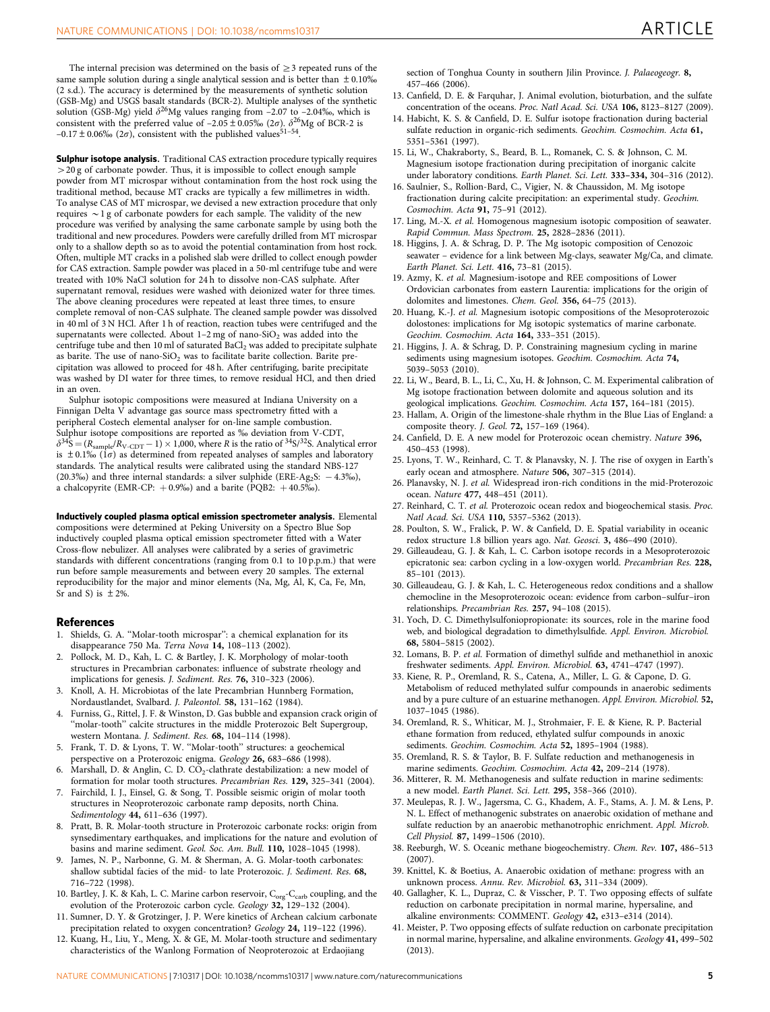<span id="page-4-0"></span>The internal precision was determined on the basis of  $>$ 3 repeated runs of the same sample solution during a single analytical session and is better than  $\pm 0.10\%$ (2 s.d.). The accuracy is determined by the measurements of synthetic solution (GSB-Mg) and USGS basalt standards (BCR-2). Multiple analyses of the synthetic solution (GSB-Mg) yield  $\delta^{26}$ Mg values ranging from –2.07 to –2.04‰, which is consistent with the preferred value of  $-2.05 \pm 0.05\%$  (2 $\sigma$ ).  $\delta^{26}$ Mg of BCR-2 is  $-0.17 \pm 0.06\%$  (2 $\sigma$ ), consistent with the published values<sup>[51–54](#page-5-0)</sup>.

**Sulphur isotope analysis.** Traditional CAS extraction procedure typically requires  $>$  20 g of carbonate powder. Thus, it is impossible to collect enough sample powder from MT microspar without contamination from the host rock using the traditional method, because MT cracks are typically a few millimetres in width. To analyse CAS of MT microspar, we devised a new extraction procedure that only requires  $\sim$  1 g of carbonate powders for each sample. The validity of the new procedure was verified by analysing the same carbonate sample by using both the traditional and new procedures. Powders were carefully drilled from MT microspar only to a shallow depth so as to avoid the potential contamination from host rock. Often, multiple MT cracks in a polished slab were drilled to collect enough powder for CAS extraction. Sample powder was placed in a 50-ml centrifuge tube and were treated with 10% NaCl solution for 24 h to dissolve non-CAS sulphate. After supernatant removal, residues were washed with deionized water for three times. The above cleaning procedures were repeated at least three times, to ensure complete removal of non-CAS sulphate. The cleaned sample powder was dissolved in 40 ml of 3 N HCl. After 1 h of reaction, reaction tubes were centrifuged and the supernatants were collected. About  $1-2$  mg of nano-SiO<sub>2</sub> was added into the centrifuge tube and then 10 ml of saturated  $BaCl<sub>2</sub>$  was added to precipitate sulphate as barite. The use of nano-SiO<sub>2</sub> was to facilitate barite collection. Barite precipitation was allowed to proceed for 48 h. After centrifuging, barite precipitate was washed by DI water for three times, to remove residual HCl, and then dried in an oven.

Sulphur isotopic compositions were measured at Indiana University on a Finnigan Delta V advantage gas source mass spectrometry fitted with a peripheral Costech elemental analyser for on-line sample combustion. Sulphur isotope compositions are reported as ‰ deviation from V-CDT,  $\delta^{34}S = (R_{\rm sample}/R_{\rm V\text{-}CDT}-1)\times 1{,}000,$  where R is the ratio of  $^{34}S/^{32}S$ . Analytical error is  $\pm$  0.1% (1 $\sigma$ ) as determined from repeated analyses of samples and laboratory standards. The analytical results were calibrated using the standard NBS-127  $(20.3\%)$  and three internal standards: a silver sulphide (ERE-Ag<sub>2</sub>S:  $-4.3\%$ ), a chalcopyrite (EMR-CP:  $+0.9\%$ ) and a barite (PQB2:  $+40.5\%$ ).

Inductively coupled plasma optical emission spectrometer analysis. Elemental compositions were determined at Peking University on a Spectro Blue Sop inductively coupled plasma optical emission spectrometer fitted with a Water Cross-flow nebulizer. All analyses were calibrated by a series of gravimetric standards with different concentrations (ranging from 0.1 to 10 p.p.m.) that were run before sample measurements and between every 20 samples. The external reproducibility for the major and minor elements (Na, Mg, Al, K, Ca, Fe, Mn, Sr and S) is  $\pm 2\%$ .

#### References

- 1. Shields, G. A. ''Molar-tooth microspar'': a chemical explanation for its disappearance 750 Ma. Terra Nova 14, 108–113 (2002).
- 2. Pollock, M. D., Kah, L. C. & Bartley, J. K. Morphology of molar-tooth structures in Precambrian carbonates: influence of substrate rheology and implications for genesis. J. Sediment. Res. 76, 310–323 (2006).
- 3. Knoll, A. H. Microbiotas of the late Precambrian Hunnberg Formation, Nordaustlandet, Svalbard. J. Paleontol. 58, 131–162 (1984).
- 4. Furniss, G., Rittel, J. F. & Winston, D. Gas bubble and expansion crack origin of ''molar-tooth'' calcite structures in the middle Proterozoic Belt Supergroup, western Montana. J. Sediment. Res. 68, 104–114 (1998).
- 5. Frank, T. D. & Lyons, T. W. ''Molar-tooth'' structures: a geochemical perspective on a Proterozoic enigma. Geology 26, 683–686 (1998).
- 6. Marshall, D. & Anglin, C. D.  $CO_2$ -clathrate destabilization: a new model of formation for molar tooth structures. Precambrian Res. 129, 325–341 (2004).
- Fairchild, I. J., Einsel, G. & Song, T. Possible seismic origin of molar tooth structures in Neoproterozoic carbonate ramp deposits, north China. Sedimentology 44, 611–636 (1997).
- 8. Pratt, B. R. Molar-tooth structure in Proterozoic carbonate rocks: origin from synsedimentary earthquakes, and implications for the nature and evolution of basins and marine sediment. Geol. Soc. Am. Bull. 110, 1028–1045 (1998).
- 9. James, N. P., Narbonne, G. M. & Sherman, A. G. Molar-tooth carbonates: shallow subtidal facies of the mid- to late Proterozoic. J. Sediment. Res. 68, 716–722 (1998).
- 10. Bartley, J. K. & Kah, L. C. Marine carbon reservoir, C<sub>org</sub>-C<sub>carb</sub> coupling, and the evolution of the Proterozoic carbon cycle. Geology 32, 129–132 (2004).
- 11. Sumner, D. Y. & Grotzinger, J. P. Were kinetics of Archean calcium carbonate precipitation related to oxygen concentration? Geology 24, 119–122 (1996).
- 12. Kuang, H., Liu, Y., Meng, X. & GE, M. Molar-tooth structure and sedimentary characteristics of the Wanlong Formation of Neoproterozoic at Erdaojiang

section of Tonghua County in southern Jilin Province. J. Palaeogeogr. 8, 457–466 (2006).

- 13. Canfield, D. E. & Farquhar, J. Animal evolution, bioturbation, and the sulfate concentration of the oceans. Proc. Natl Acad. Sci. USA 106, 8123–8127 (2009).
- 14. Habicht, K. S. & Canfield, D. E. Sulfur isotope fractionation during bacterial sulfate reduction in organic-rich sediments. Geochim. Cosmochim. Acta 61, 5351–5361 (1997).
- 15. Li, W., Chakraborty, S., Beard, B. L., Romanek, C. S. & Johnson, C. M. Magnesium isotope fractionation during precipitation of inorganic calcite under laboratory conditions. Earth Planet. Sci. Lett. 333–334, 304–316 (2012).
- 16. Saulnier, S., Rollion-Bard, C., Vigier, N. & Chaussidon, M. Mg isotope fractionation during calcite precipitation: an experimental study. Geochim. Cosmochim. Acta 91, 75–91 (2012).
- 17. Ling, M.-X. et al. Homogenous magnesium isotopic composition of seawater. Rapid Commun. Mass Spectrom. 25, 2828–2836 (2011).
- 18. Higgins, J. A. & Schrag, D. P. The Mg isotopic composition of Cenozoic seawater – evidence for a link between Mg-clays, seawater Mg/Ca, and climate. Earth Planet. Sci. Lett. 416, 73–81 (2015).
- 19. Azmy, K. et al. Magnesium-isotope and REE compositions of Lower Ordovician carbonates from eastern Laurentia: implications for the origin of dolomites and limestones. Chem. Geol. 356, 64–75 (2013).
- 20. Huang, K.-J. et al. Magnesium isotopic compositions of the Mesoproterozoic dolostones: implications for Mg isotopic systematics of marine carbonate. Geochim. Cosmochim. Acta 164, 333–351 (2015).
- 21. Higgins, J. A. & Schrag, D. P. Constraining magnesium cycling in marine sediments using magnesium isotopes. Geochim. Cosmochim. Acta 74, 5039–5053 (2010).
- 22. Li, W., Beard, B. L., Li, C., Xu, H. & Johnson, C. M. Experimental calibration of Mg isotope fractionation between dolomite and aqueous solution and its geological implications. Geochim. Cosmochim. Acta 157, 164-181 (2015).
- 23. Hallam, A. Origin of the limestone-shale rhythm in the Blue Lias of England: a composite theory. J. Geol. 72, 157–169 (1964).
- 24. Canfield, D. E. A new model for Proterozoic ocean chemistry. Nature 396, 450–453 (1998).
- 25. Lyons, T. W., Reinhard, C. T. & Planavsky, N. J. The rise of oxygen in Earth's early ocean and atmosphere. Nature 506, 307-315 (2014).
- 26. Planavsky, N. J. et al. Widespread iron-rich conditions in the mid-Proterozoic ocean. Nature 477, 448–451 (2011).
- 27. Reinhard, C. T. et al. Proterozoic ocean redox and biogeochemical stasis. Proc. Natl Acad. Sci. USA 110, 5357–5362 (2013).
- 28. Poulton, S. W., Fralick, P. W. & Canfield, D. E. Spatial variability in oceanic redox structure 1.8 billion years ago. Nat. Geosci. 3, 486–490 (2010).
- 29. Gilleaudeau, G. J. & Kah, L. C. Carbon isotope records in a Mesoproterozoic epicratonic sea: carbon cycling in a low-oxygen world. Precambrian Res. 228, 85–101 (2013).
- 30. Gilleaudeau, G. J. & Kah, L. C. Heterogeneous redox conditions and a shallow chemocline in the Mesoproterozoic ocean: evidence from carbon–sulfur–iron relationships. Precambrian Res. 257, 94–108 (2015).
- 31. Yoch, D. C. Dimethylsulfoniopropionate: its sources, role in the marine food web, and biological degradation to dimethylsulfide. Appl. Environ. Microbiol. 68, 5804–5815 (2002).
- 32. Lomans, B. P. et al. Formation of dimethyl sulfide and methanethiol in anoxic freshwater sediments. Appl. Environ. Microbiol. 63, 4741–4747 (1997).
- 33. Kiene, R. P., Oremland, R. S., Catena, A., Miller, L. G. & Capone, D. G. Metabolism of reduced methylated sulfur compounds in anaerobic sediments and by a pure culture of an estuarine methanogen. Appl. Environ. Microbiol. 52, 1037–1045 (1986).
- 34. Oremland, R. S., Whiticar, M. J., Strohmaier, F. E. & Kiene, R. P. Bacterial ethane formation from reduced, ethylated sulfur compounds in anoxic sediments. Geochim. Cosmochim. Acta 52, 1895–1904 (1988).
- 35. Oremland, R. S. & Taylor, B. F. Sulfate reduction and methanogenesis in marine sediments. Geochim. Cosmochim. Acta 42, 209–214 (1978).
- 36. Mitterer, R. M. Methanogenesis and sulfate reduction in marine sediments: a new model. Earth Planet. Sci. Lett. 295, 358–366 (2010).
- 37. Meulepas, R. J. W., Jagersma, C. G., Khadem, A. F., Stams, A. J. M. & Lens, P. N. L. Effect of methanogenic substrates on anaerobic oxidation of methane and sulfate reduction by an anaerobic methanotrophic enrichment. Appl. Microb. Cell Physiol. 87, 1499–1506 (2010).
- 38. Reeburgh, W. S. Oceanic methane biogeochemistry. Chem. Rev. 107, 486–513  $(2007)$
- 39. Knittel, K. & Boetius, A. Anaerobic oxidation of methane: progress with an unknown process. Annu. Rev. Microbiol. 63, 311–334 (2009).
- 40. Gallagher, K. L., Dupraz, C. & Visscher, P. T. Two opposing effects of sulfate reduction on carbonate precipitation in normal marine, hypersaline, and alkaline environments: COMMENT. Geology 42, e313–e314 (2014).
- 41. Meister, P. Two opposing effects of sulfate reduction on carbonate precipitation in normal marine, hypersaline, and alkaline environments. Geology 41, 499–502 (2013).